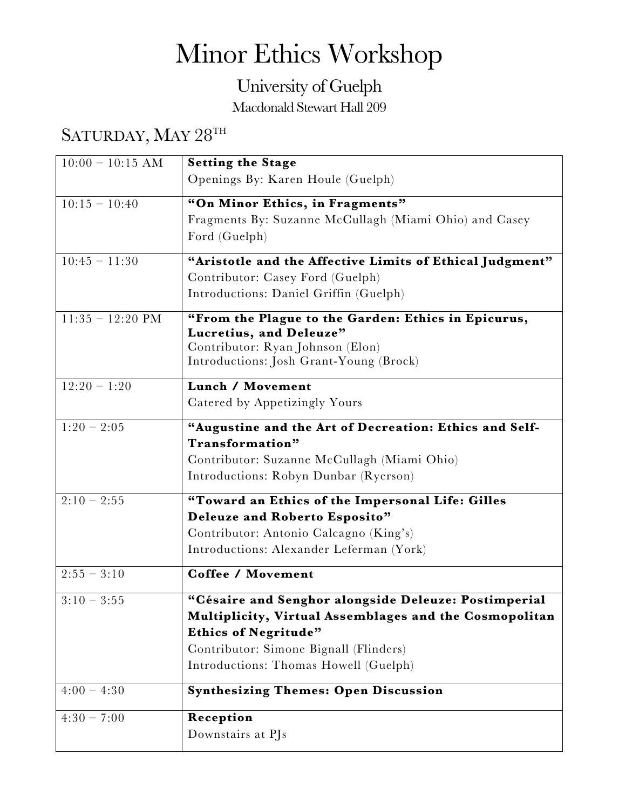## Minor Ethics Workshop

## University of Guelph

Macdonald Stewart Hall 209

## SATURDAY, MAY 28TH

| $10:00 - 10:15$ AM | <b>Setting the Stage</b>                                                    |
|--------------------|-----------------------------------------------------------------------------|
|                    | Openings By: Karen Houle (Guelph)                                           |
| $10:15 - 10:40$    | "On Minor Ethics, in Fragments"                                             |
|                    | Fragments By: Suzanne McCullagh (Miami Ohio) and Casey                      |
|                    | Ford (Guelph)                                                               |
| $10:45 - 11:30$    | "Aristotle and the Affective Limits of Ethical Judgment"                    |
|                    | Contributor: Casey Ford (Guelph)                                            |
|                    | Introductions: Daniel Griffin (Guelph)                                      |
| $11:35 - 12:20$ PM | "From the Plague to the Garden: Ethics in Epicurus,                         |
|                    | Lucretius, and Deleuze"                                                     |
|                    | Contributor: Ryan Johnson (Elon)<br>Introductions: Josh Grant-Young (Brock) |
|                    |                                                                             |
| $12:20 - 1:20$     | Lunch / Movement                                                            |
|                    | Catered by Appetizingly Yours                                               |
| $1:20 - 2:05$      | "Augustine and the Art of Decreation: Ethics and Self-                      |
|                    | Transformation"                                                             |
|                    | Contributor: Suzanne McCullagh (Miami Ohio)                                 |
|                    | Introductions: Robyn Dunbar (Ryerson)                                       |
| $2:10 - 2:55$      | "Toward an Ethics of the Impersonal Life: Gilles                            |
|                    | Deleuze and Roberto Esposito"                                               |
|                    | Contributor: Antonio Calcagno (King's)                                      |
|                    | Introductions: Alexander Leferman (York)                                    |
|                    |                                                                             |
| $2:55 - 3:10$      | <b>Coffee / Movement</b>                                                    |
| $3:10 - 3:55$      | "Césaire and Senghor alongside Deleuze: Postimperial                        |
|                    | Multiplicity, Virtual Assemblages and the Cosmopolitan                      |
|                    | <b>Ethics of Negritude"</b>                                                 |
|                    | Contributor: Simone Bignall (Flinders)                                      |
|                    | Introductions: Thomas Howell (Guelph)                                       |
| $4:00 - 4:30$      | <b>Synthesizing Themes: Open Discussion</b>                                 |
| $4:30 - 7:00$      | Reception                                                                   |
|                    | Downstairs at PJs                                                           |
|                    |                                                                             |